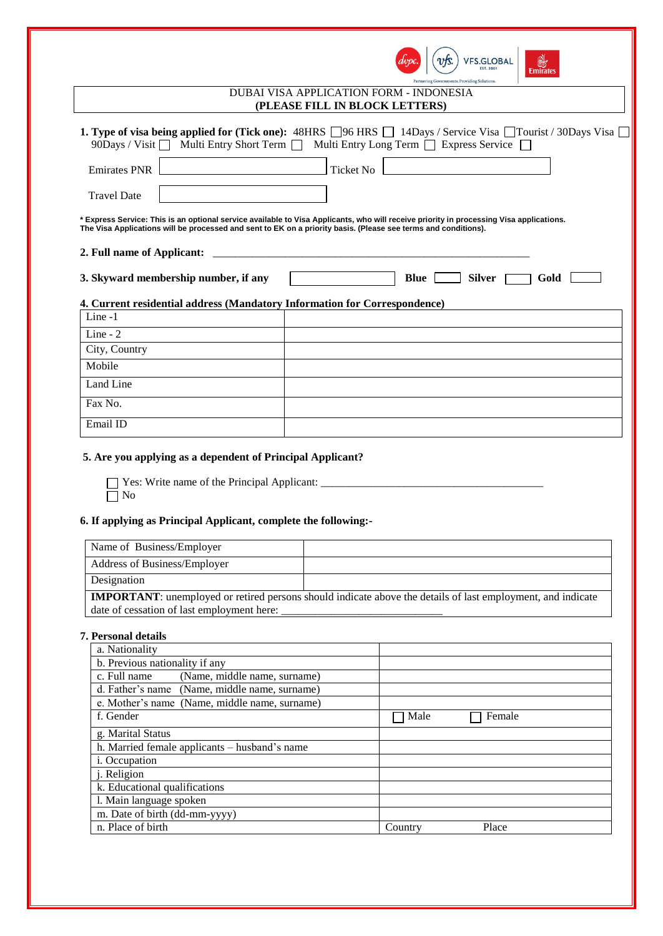| VFS.GLOBAL<br>EST 2001<br><b>Emirates</b><br>Partnering Governments. Providing Solutions.                                                                                                                                                                                                       |  |
|-------------------------------------------------------------------------------------------------------------------------------------------------------------------------------------------------------------------------------------------------------------------------------------------------|--|
| DUBAI VISA APPLICATION FORM - INDONESIA<br>(PLEASE FILL IN BLOCK LETTERS)                                                                                                                                                                                                                       |  |
| <b>1. Type of visa being applied for (Tick one):</b> 48HRS $\Box$ 96 HRS $\Box$ 14Days / Service Visa $\Box$ Tourist / 30Days Visa $\Box$<br>90Days / Visit $\Box$ Multi Entry Short Term $\Box$ Multi Entry Long Term $\Box$ Express Service $\Box$<br><b>Emirates PNR</b><br><b>Ticket No</b> |  |
| <b>Travel Date</b>                                                                                                                                                                                                                                                                              |  |
| * Express Service: This is an optional service available to Visa Applicants, who will receive priority in processing Visa applications.<br>The Visa Applications will be processed and sent to EK on a priority basis. (Please see terms and conditions).                                       |  |
| 2. Full name of Applicant:                                                                                                                                                                                                                                                                      |  |
| 3. Skyward membership number, if any<br><b>Silver</b><br><b>Blue</b> l<br>Gold                                                                                                                                                                                                                  |  |
| 4. Current residential address (Mandatory Information for Correspondence)                                                                                                                                                                                                                       |  |
| $Line -1$                                                                                                                                                                                                                                                                                       |  |
| Line - $2$                                                                                                                                                                                                                                                                                      |  |
| City, Country                                                                                                                                                                                                                                                                                   |  |
| Mobile                                                                                                                                                                                                                                                                                          |  |
| Land Line                                                                                                                                                                                                                                                                                       |  |
| Fax No.                                                                                                                                                                                                                                                                                         |  |
| Email ID                                                                                                                                                                                                                                                                                        |  |
| 5. Are you applying as a dependent of Principal Applicant?                                                                                                                                                                                                                                      |  |
| No                                                                                                                                                                                                                                                                                              |  |

# **6. If applying as Principal Applicant, complete the following:-**

| Name of Business/Employer                  |                                                                                                                    |
|--------------------------------------------|--------------------------------------------------------------------------------------------------------------------|
| Address of Business/Employer               |                                                                                                                    |
| Designation                                |                                                                                                                    |
|                                            | <b>IMPORTANT:</b> unemployed or retired persons should indicate above the details of last employment, and indicate |
| date of cessation of last employment here: |                                                                                                                    |

# **7. Personal details**

| a. Nationality                                |                  |
|-----------------------------------------------|------------------|
| b. Previous nationality if any                |                  |
| (Name, middle name, surname)<br>c. Full name  |                  |
| d. Father's name (Name, middle name, surname) |                  |
| e. Mother's name (Name, middle name, surname) |                  |
| f. Gender                                     | Male<br>Female   |
| g. Marital Status                             |                  |
| h. Married female applicants – husband's name |                  |
| <i>i</i> . Occupation                         |                  |
| <i>i</i> . Religion                           |                  |
| k. Educational qualifications                 |                  |
| 1. Main language spoken                       |                  |
| m. Date of birth (dd-mm-yyyy)                 |                  |
| n. Place of birth                             | Place<br>Country |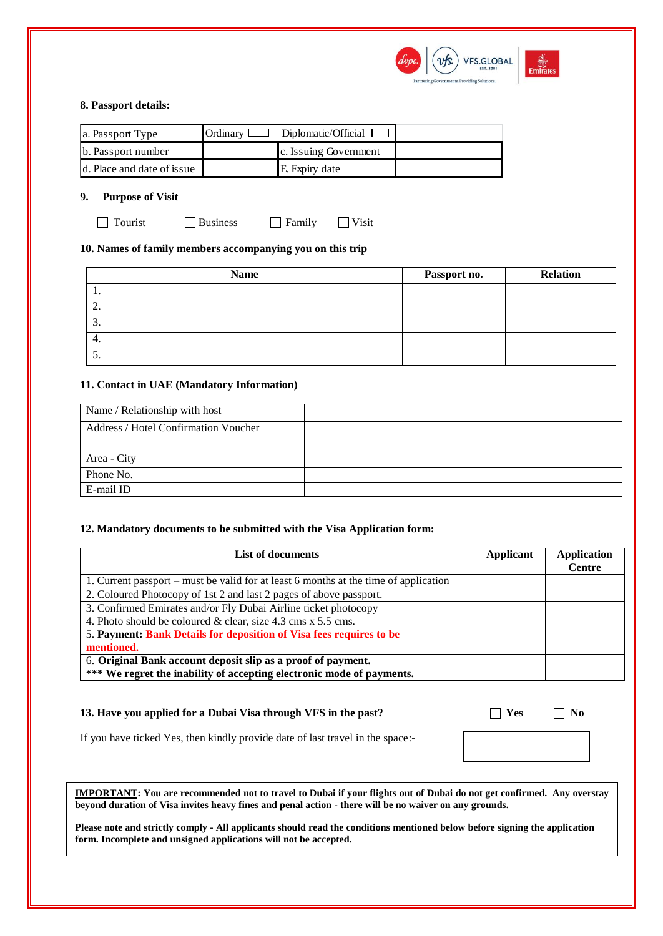

### **8. Passport details:**

| a. Passport Type           | $Ordinary$ $\Box$ Diplomatic/Official $\Box$ |  |
|----------------------------|----------------------------------------------|--|
| b. Passport number         | c. Issuing Government                        |  |
| d. Place and date of issue | E. Expiry date                               |  |

## **9. Purpose of Visit**

Tourist Business Family Visit

# **10. Names of family members accompanying you on this trip**

| <b>Name</b>                   | Passport no. | <b>Relation</b> |
|-------------------------------|--------------|-----------------|
| . .                           |              |                 |
| ◠<br>$\overline{\phantom{a}}$ |              |                 |
| $\sim$<br>.ر                  |              |                 |
| 4.                            |              |                 |
| J.                            |              |                 |

## **11. Contact in UAE (Mandatory Information)**

| Name / Relationship with host        |  |
|--------------------------------------|--|
| Address / Hotel Confirmation Voucher |  |
|                                      |  |
| Area - City                          |  |
| Phone No.                            |  |
| E-mail ID                            |  |

#### **12. Mandatory documents to be submitted with the Visa Application form:**

| <b>List of documents</b>                                                             | Applicant | <b>Application</b> |
|--------------------------------------------------------------------------------------|-----------|--------------------|
|                                                                                      |           | <b>Centre</b>      |
| 1. Current passport – must be valid for at least 6 months at the time of application |           |                    |
| 2. Coloured Photocopy of 1st 2 and last 2 pages of above passport.                   |           |                    |
| 3. Confirmed Emirates and/or Fly Dubai Airline ticket photocopy                      |           |                    |
| 4. Photo should be coloured & clear, size 4.3 cms x 5.5 cms.                         |           |                    |
| 5. Payment: Bank Details for deposition of Visa fees requires to be                  |           |                    |
| mentioned.                                                                           |           |                    |
| 6. Original Bank account deposit slip as a proof of payment.                         |           |                    |
| *** We regret the inability of accepting electronic mode of payments.                |           |                    |

# **13. Have you applied for a Dubai Visa through VFS in the past?**  $\Box$  **Yes**  $\Box$  **No**

| ı<br>۰,<br>I |  |
|--------------|--|
|              |  |

If you have ticked Yes, then kindly provide date of last travel in the space:-

**IMPORTANT: You are recommended not to travel to Dubai if your flights out of Dubai do not get confirmed. Any overstay beyond duration of Visa invites heavy fines and penal action - there will be no waiver on any grounds.** 

**Please note and strictly comply - All applicants should read the conditions mentioned below before signing the application form. Incomplete and unsigned applications will not be accepted.**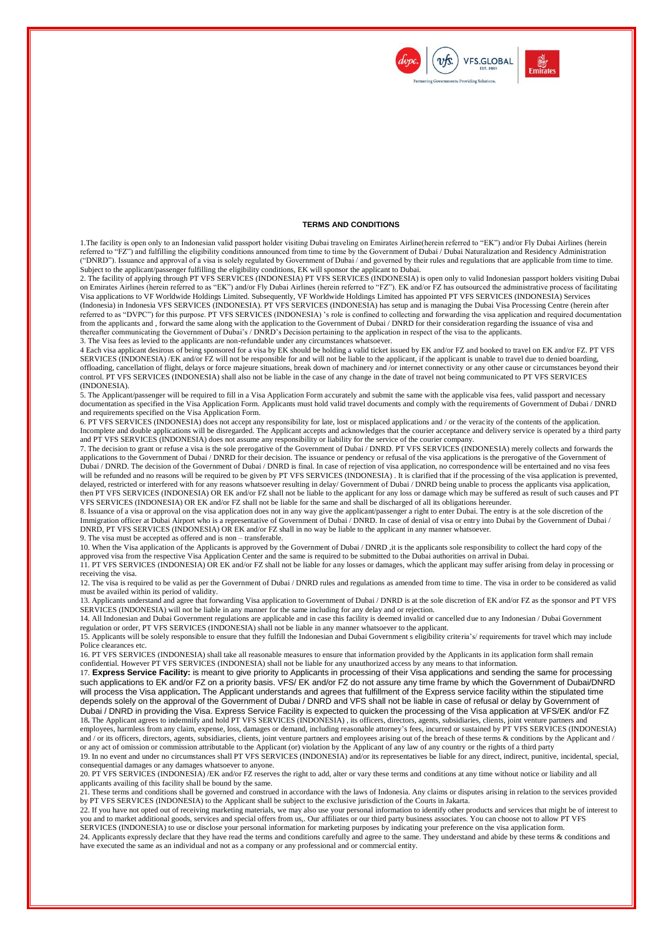



#### **TERMS AND CONDITIONS**

1.The facility is open only to an Indonesian valid passport holder visiting Dubai traveling on Emirates Airline(herein referred to "EK") and/or Fly Dubai Airlines (herein referred to "FZ") and fulfilling the eligibility conditions announced from time to time by the Government of Dubai / Dubai Naturalization and Residency Administration ("DNRD"). Issuance and approval of a visa is solely regulated by Government of Dubai / and governed by their rules and regulations that are applicable from time to time. Subject to the applicant/passenger fulfilling the eligibility conditions, EK will sponsor the applicant to Dubai.

2. The facility of applying through PT VFS SERVICES (INDONESIA) PT VFS SERVICES (INDONESIA) is open only to valid Indonesian passport holders visiting Dubai on Emirates Airlines (herein referred to as "EK") and/or Fly Dubai Airlines (herein referred to "FZ"). EK and/or FZ has outsourced the administrative process of facilitating Visa applications to VF Worldwide Holdings Limited. Subsequently, VF Worldwide Holdings Limited has appointed PT VFS SERVICES (INDONESIA) Services (Indonesia) in Indonesia VFS SERVICES (INDONESIA). PT VFS SERVICES (INDONESIA) has setup and is managing the Dubai Visa Processing Centre (herein after referred to as "DVPC") for this purpose. PT VFS SERVICES (INDONESIA) 's role is confined to collecting and forwarding the visa application and required documentation from the applicants and, forward the same along with the application to the Government of Dubai / DNRD for their consideration regarding the issuance of visa and thereafter communicating the Government of Dubai's / DNRD's Decision pertaining to the application in respect of the visa to the applicants. 3. The Visa fees as levied to the applicants are non-refundable under any circumstances whatsoever.

4 Each visa applicant desirous of being sponsored for a visa by EK should be holding a valid ticket issued by EK and/or FZ and booked to travel on EK and/or FZ. PT VFS SERVICES (INDONESIA) /EK and/or FZ will not be responsible for and will not be liable to the applicant, if the applicant is unable to travel due to denied boarding, offloading, cancellation of flight, delays or force majeure situations, break down of machinery and /or internet connectivity or any other cause or circumstances beyond their control. PT VFS SERVICES (INDONESIA) shall also not be liable in the case of any change in the date of travel not being communicated to PT VFS SERVICES (INDONESIA).

5. The Applicant/passenger will be required to fill in a Visa Application Form accurately and submit the same with the applicable visa fees, valid passport and necessary documentation as specified in the Visa Application Form. Applicants must hold valid travel documents and comply with the requirements of Government of Dubai / DNRD and requirements specified on the Visa Application Form.

6. PT VFS SERVICES (INDONESIA) does not accept any responsibility for late, lost or misplaced applications and / or the veracity of the contents of the application. Incomplete and double applications will be disregarded. The Applicant accepts and acknowledges that the courier acceptance and delivery service is operated by a third party and PT VFS SERVICES (INDONESIA) does not assume any responsibility or liability for the service of the courier company.

7. The decision to grant or refuse a visa is the sole prerogative of the Government of Dubai / DNRD. PT VFS SERVICES (INDONESIA) merely collects and forwards the applications to the Government of Dubai / DNRD for their decision. The issuance or pendency or refusal of the visa applications is the prerogative of the Government of Dubai / DNRD. The decision of the Government of Dubai / DNRD is final. In case of rejection of visa application, no correspondence will be entertained and no visa fees will be refunded and no reasons will be required to be given by PT VFS SERVICES (INDONESIA). It is clarified that if the processing of the visa application is prevented, delayed, restricted or interfered with for any reasons whatsoever resulting in delay/ Government of Dubai / DNRD being unable to process the applicants visa application, then PT VFS SERVICES (INDONESIA) OR EK and/or FZ shall not be liable to the applicant for any loss or damage which may be suffered as result of such causes and PT VFS SERVICES (INDONESIA) OR EK and/or FZ shall not be liable for the same and shall be discharged of all its obligations hereunder.

8. Issuance of a visa or approval on the visa application does not in any way give the applicant/passenger a right to enter Dubai. The entry is at the sole discretion of the Immigration officer at Dubai Airport who is a representative of Government of Dubai / DNRD. In case of denial of visa or entry into Dubai by the Government of Dubai / DNRD, PT VFS SERVICES (INDONESIA) OR EK and/or FZ shall in no way be liable to the applicant in any manner whatsoever.

9. The visa must be accepted as offered and is non – transferable.

10. When the Visa application of the Applicants is approved by the Government of Dubai / DNRD ,it is the applicants sole responsibility to collect the hard copy of the approved visa from the respective Visa Application Center and the same is required to be submitted to the Dubai authorities on arrival in Dubai.

11. PT VFS SERVICES (INDONESIA) OR EK and/or FZ shall not be liable for any losses or damages, which the applicant may suffer arising from delay in processing or receiving the visa.

12. The visa is required to be valid as per the Government of Dubai / DNRD rules and regulations as amended from time to time. The visa in order to be considered as valid must be availed within its period of validity.

13. Applicants understand and agree that forwarding Visa application to Government of Dubai / DNRD is at the sole discretion of EK and/or FZ as the sponsor and PT VFS SERVICES (INDONESIA) will not be liable in any manner for the same including for any delay and or rejection.

14. All Indonesian and Dubai Government regulations are applicable and in case this facility is deemed invalid or cancelled due to any Indonesian / Dubai Government regulation or order, PT VFS SERVICES (INDONESIA) shall not be liable in any manner whatsoever to the applicant.

15. Applicants will be solely responsible to ensure that they fulfill the Indonesian and Dubai Government s eligibility criteria's/ requirements for travel which may include Police clearances etc.

16. PT VFS SERVICES (INDONESIA) shall take all reasonable measures to ensure that information provided by the Applicants in its application form shall remain confidential. However PT VFS SERVICES (INDONESIA) shall not be liable for any unauthorized access by any means to that information.

17. **Express Service Facility:** is meant to give priority to Applicants in processing of their Visa applications and sending the same for processing such applications to EK and/or FZ on a priority basis. VFS/ EK and/or FZ do not assure any time frame by which the Government of Dubai/DNRD will process the Visa application**.** The Applicant understands and agrees that fulfillment of the Express service facility within the stipulated time depends solely on the approval of the Government of Dubai / DNRD and VFS shall not be liable in case of refusal or delay by Government of Dubai / DNRD in providing the Visa. Express Service Facility is expected to quicken the processing of the Visa application at VFS/EK and/or FZ 18**.** The Applicant agrees to indemnify and hold PT VFS SERVICES (INDONESIA) , its officers, directors, agents, subsidiaries, clients, joint venture partners and employees, harmless from any claim, expense, loss, damages or demand, including reasonable attorney's fees, incurred or sustained by PT VFS SERVICES (INDONESIA) and / or its officers, directors, agents, subsidiaries, clients, joint venture partners and employees arising out of the breach of these terms & conditions by the Applicant and /

or any act of omission or commission attributable to the Applicant (or) violation by the Applicant of any law of any country or the rights of a third party 19. In no event and under no circumstances shall PT VFS SERVICES (INDONESIA) and/or its representatives be liable for any direct, indirect, punitive, incidental, special, consequential damages or any damages whatsoever to anyone.

20. PT VFS SERVICES (INDONESIA) /EK and/or FZ reserves the right to add, alter or vary these terms and conditions at any time without notice or liability and all applicants availing of this facility shall be bound by the same.

21. These terms and conditions shall be governed and construed in accordance with the laws of Indonesia. Any claims or disputes arising in relation to the services provided by PT VFS SERVICES (INDONESIA) to the Applicant shall be subject to the exclusive jurisdiction of the Courts in Jakarta.

22. If you have not opted out of receiving marketing materials, we may also use your personal information to identify other products and services that might be of interest to you and to market additional goods, services and special offers from us,. Our affiliates or our third party business associates. You can choose not to allow PT VFS SERVICES (INDONESIA) to use or disclose your personal information for marketing purposes by indicating your preference on the visa application form.

24. Applicants expressly declare that they have read the terms and conditions carefully and agree to the same. They understand and abide by these terms & conditions and have executed the same as an individual and not as a company or any professional and or commercial entity.